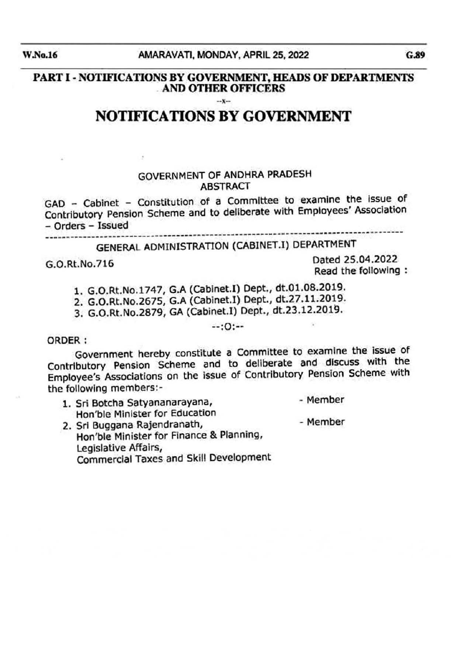PART I- NOTIFICATIONS BY GOVERNMENT, BEADS OF DEPARTMENTS . AND OTHER OFFICERS

 $-x - x -$ 

# NOTIFICATIONS BY GOVERNMENT

### GOVERNMENT OF ANDHRA PRADESH ABSTRACT

GAD - Cabinet - Constitution of a Committee to examine the Issue of Contributory Pension Scheme and to deliberate with Employees' Association - Orders - Issued

# --- ---- ---~- ---- -- ------- ----- -- -- -- --- ----- -- ------ ------ -- -~ ------ GENERAL ADMINISTRATION (CABINET.I) DEPARTMENT

G.O.Rt.No.716 Dated 25.04.2022 Read the following :

1. G.O.Rt.No.1747, G.A (Cabinet.!) Dept., dt.Ol.08.2019.

2. G.O.Rt.No.2675, G.A (Cabinet. I) Dept., dt.27 .11.2019.

3. G.O.Rt.No.2879, GA (Cabinet.I) Dept., dt.23.12.2019.

 $-10: -10$ 

#### ORDER :

Government hereby constitute a Committee to examine the lssue of Contributory Pension Scheme and to deliberate and discuss with the Employee's Associations on the issue of Contributory Pensron Scheme wtth the following members:-

- 1. Sri Botcha Satyananarayana, Hon'ble Minister for Education - Member -Member
- 2. Sri Buggana Rajendranath, Hon'ble Minister for Finance & Planning, Legislative Affairs, Commercial Taxes and Skill Development